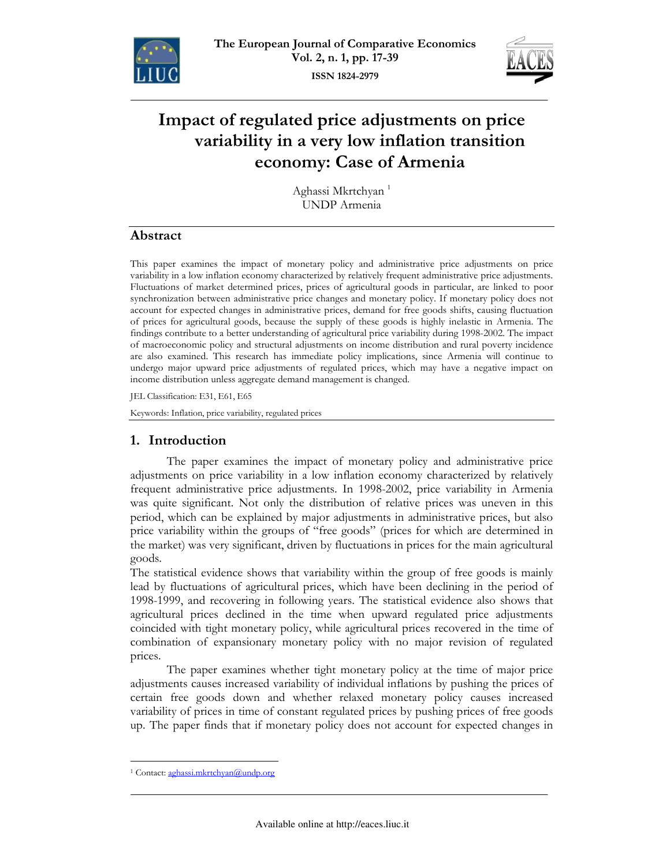



# Impact of regulated price adjustments on price variability in a very low inflation transition economy: Case of Armenia

Aghassi Mkrtchyan<sup>1</sup> **UNDP** Armenia

# Abstract

This paper examines the impact of monetary policy and administrative price adjustments on price variability in a low inflation economy characterized by relatively frequent administrative price adjustments. Fluctuations of market determined prices, prices of agricultural goods in particular, are linked to poor synchronization between administrative price changes and monetary policy. If monetary policy does not account for expected changes in administrative prices, demand for free goods shifts, causing fluctuation of prices for agricultural goods, because the supply of these goods is highly inelastic in Armenia. The findings contribute to a better understanding of agricultural price variability during 1998-2002. The impact of macroeconomic policy and structural adjustments on income distribution and rural poverty incidence are also examined. This research has immediate policy implications, since Armenia will continue to undergo major upward price adjustments of regulated prices, which may have a negative impact on income distribution unless aggregate demand management is changed.

JEL Classification: E31, E61, E65

Keywords: Inflation, price variability, regulated prices

# 1. Introduction

The paper examines the impact of monetary policy and administrative price adjustments on price variability in a low inflation economy characterized by relatively frequent administrative price adjustments. In 1998-2002, price variability in Armenia was quite significant. Not only the distribution of relative prices was uneven in this period, which can be explained by major adjustments in administrative prices, but also price variability within the groups of "free goods" (prices for which are determined in the market) was very significant, driven by fluctuations in prices for the main agricultural goods.

The statistical evidence shows that variability within the group of free goods is mainly lead by fluctuations of agricultural prices, which have been declining in the period of 1998-1999, and recovering in following years. The statistical evidence also shows that agricultural prices declined in the time when upward regulated price adjustments coincided with tight monetary policy, while agricultural prices recovered in the time of combination of expansionary monetary policy with no major revision of regulated prices.

The paper examines whether tight monetary policy at the time of major price adjustments causes increased variability of individual inflations by pushing the prices of certain free goods down and whether relaxed monetary policy causes increased variability of prices in time of constant regulated prices by pushing prices of free goods up. The paper finds that if monetary policy does not account for expected changes in

<sup>&</sup>lt;sup>1</sup> Contact: aghassi.mkrtchyan@undp.org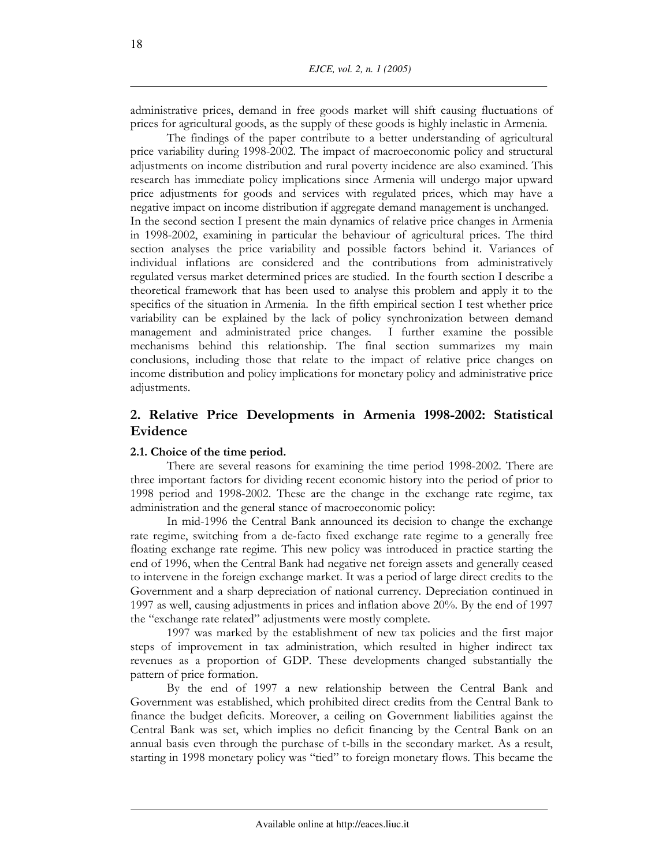administrative prices, demand in free goods market will shift causing fluctuations of prices for agricultural goods, as the supply of these goods is highly inelastic in Armenia.

The findings of the paper contribute to a better understanding of agricultural price variability during 1998-2002. The impact of macroeconomic policy and structural adjustments on income distribution and rural poverty incidence are also examined. This research has immediate policy implications since Armenia will undergo major upward price adjustments for goods and services with regulated prices, which may have a negative impact on income distribution if aggregate demand management is unchanged. In the second section I present the main dynamics of relative price changes in Armenia in 1998-2002, examining in particular the behaviour of agricultural prices. The third section analyses the price variability and possible factors behind it. Variances of individual inflations are considered and the contributions from administratively regulated versus market determined prices are studied. In the fourth section I describe a theoretical framework that has been used to analyse this problem and apply it to the specifics of the situation in Armenia. In the fifth empirical section I test whether price variability can be explained by the lack of policy synchronization between demand management and administrated price changes. I further examine the possible mechanisms behind this relationship. The final section summarizes my main conclusions, including those that relate to the impact of relative price changes on income distribution and policy implications for monetary policy and administrative price adjustments.

# 2. Relative Price Developments in Armenia 1998-2002: Statistical Evidence

### 2.1. Choice of the time period.

There are several reasons for examining the time period 1998-2002. There are three important factors for dividing recent economic history into the period of prior to 1998 period and 1998-2002. These are the change in the exchange rate regime, tax administration and the general stance of macroeconomic policy:

In mid-1996 the Central Bank announced its decision to change the exchange rate regime, switching from a de-facto fixed exchange rate regime to a generally free floating exchange rate regime. This new policy was introduced in practice starting the end of 1996, when the Central Bank had negative net foreign assets and generally ceased to intervene in the foreign exchange market. It was a period of large direct credits to the Government and a sharp depreciation of national currency. Depreciation continued in 1997 as well, causing adjustments in prices and inflation above 20%. By the end of 1997 the "exchange rate related" adjustments were mostly complete.

1997 was marked by the establishment of new tax policies and the first major steps of improvement in tax administration, which resulted in higher indirect tax revenues as a proportion of GDP. These developments changed substantially the pattern of price formation.

By the end of 1997 a new relationship between the Central Bank and Government was established, which prohibited direct credits from the Central Bank to finance the budget deficits. Moreover, a ceiling on Government liabilities against the Central Bank was set, which implies no deficit financing by the Central Bank on an annual basis even through the purchase of t-bills in the secondary market. As a result, starting in 1998 monetary policy was "tied" to foreign monetary flows. This became the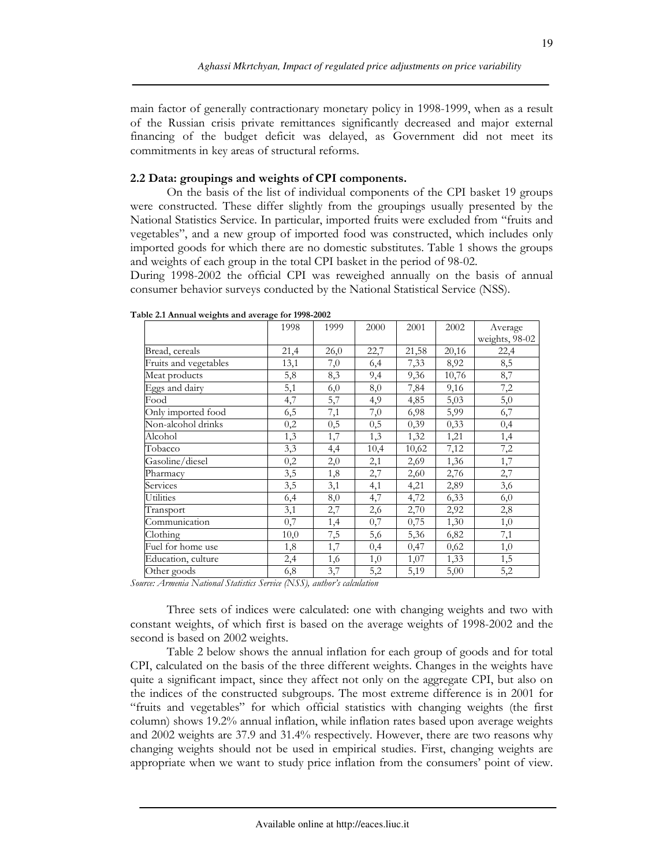main factor of generally contractionary monetary policy in 1998-1999, when as a result of the Russian crisis private remittances significantly decreased and major external financing of the budget deficit was delayed, as Government did not meet its commitments in key areas of structural reforms.

### 2.2 Data: groupings and weights of CPI components.

On the basis of the list of individual components of the CPI basket 19 groups were constructed. These differ slightly from the groupings usually presented by the National Statistics Service. In particular, imported fruits were excluded from "fruits and vegetables", and a new group of imported food was constructed, which includes only imported goods for which there are no domestic substitutes. Table 1 shows the groups and weights of each group in the total CPI basket in the period of 98-02.

During 1998-2002 the official CPI was reweighed annually on the basis of annual consumer behavior surveys conducted by the National Statistical Service (NSS).

|                       | 1998     | 1999    | 2000 | 2001  | 2002  | Average        |
|-----------------------|----------|---------|------|-------|-------|----------------|
|                       |          |         |      |       |       | weights, 98-02 |
| Bread, cereals        | 21,4     | 26,0    | 22,7 | 21,58 | 20,16 | 22,4           |
| Fruits and vegetables | 13,1     | $7,\!0$ | 6,4  | 7,33  | 8,92  | 8,5            |
| Meat products         | 5,8      | 8,3     | 9,4  | 9,36  | 10,76 | 8,7            |
| Eggs and dairy        | 5,1      | 6,0     | 8,0  | 7,84  | 9,16  | 7,2            |
| Food                  | 4,7      | 5,7     | 4,9  | 4,85  | 5,03  | $5,0$          |
| Only imported food    | 6,5      | 7,1     | 7,0  | 6,98  | 5,99  | 6,7            |
| Non-alcohol drinks    | 0,2      | 0,5     | 0,5  | 0,39  | 0,33  | 0,4            |
| Alcohol               | 1,3      | 1,7     | 1,3  | 1,32  | 1,21  | 1,4            |
| Tobacco               | 3,3      | 4,4     | 10,4 | 10,62 | 7,12  | 7,2            |
| Gasoline/diesel       | $_{0,2}$ | 2,0     | 2,1  | 2,69  | 1,36  | 1,7            |
| Pharmacy              | 3,5      | 1,8     | 2,7  | 2,60  | 2,76  | 2,7            |
| Services              | 3,5      | 3,1     | 4,1  | 4,21  | 2,89  | 3,6            |
| Utilities             | 6,4      | 8,0     | 4,7  | 4,72  | 6,33  | 6,0            |
| Transport             | 3,1      | 2,7     | 2,6  | 2,70  | 2,92  | 2,8            |
| Communication         | 0,7      | 1,4     | 0,7  | 0,75  | 1,30  | 1,0            |
| Clothing              | 10,0     | 7,5     | 5,6  | 5,36  | 6,82  | 7,1            |
| Fuel for home use     | 1,8      | 1,7     | 0,4  | 0,47  | 0,62  | 1,0            |
| Education, culture    | 2,4      | 1,6     | 1,0  | 1,07  | 1,33  | 1,5            |
| Other goods           | 6,8      | 3,7     | 5,2  | 5,19  | 5,00  | 5,2            |

Table 2.1 Annual weights and average for 1998-2002

Source: Armenia National Statistics Service (NSS), author's calculation

Three sets of indices were calculated: one with changing weights and two with constant weights, of which first is based on the average weights of 1998-2002 and the second is based on 2002 weights.

Table 2 below shows the annual inflation for each group of goods and for total CPI, calculated on the basis of the three different weights. Changes in the weights have quite a significant impact, since they affect not only on the aggregate CPI, but also on the indices of the constructed subgroups. The most extreme difference is in 2001 for "fruits and vegetables" for which official statistics with changing weights (the first column) shows 19.2% annual inflation, while inflation rates based upon average weights and 2002 weights are 37.9 and 31.4% respectively. However, there are two reasons why changing weights should not be used in empirical studies. First, changing weights are appropriate when we want to study price inflation from the consumers' point of view.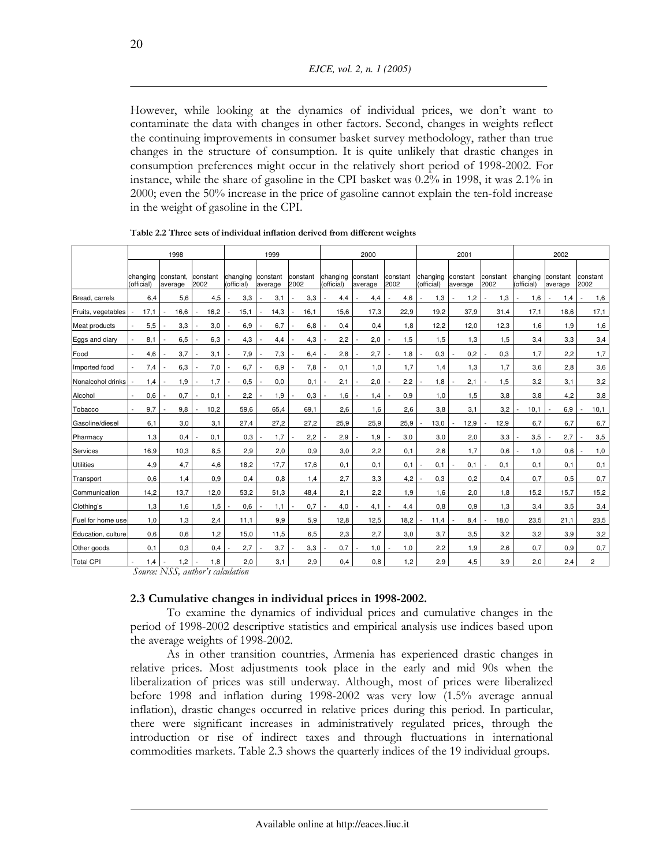However, while looking at the dynamics of individual prices, we don't want to contaminate the data with changes in other factors. Second, changes in weights reflect the continuing improvements in consumer basket survey methodology, rather than true changes in the structure of consumption. It is quite unlikely that drastic changes in consumption preferences might occur in the relatively short period of 1998-2002. For instance, while the share of gasoline in the CPI basket was 0.2% in 1998, it was 2.1% in 2000; even the 50% increase in the price of gasoline cannot explain the ten-fold increase in the weight of gasoline in the CPI.

|                    |                        | 1998                 |                  |                        | 1999                |                  |                        | 2000                |                  |                        | 2001                |                  |                        | 2002                |                  |
|--------------------|------------------------|----------------------|------------------|------------------------|---------------------|------------------|------------------------|---------------------|------------------|------------------------|---------------------|------------------|------------------------|---------------------|------------------|
|                    | changing<br>(official) | constant.<br>average | constant<br>2002 | changing<br>(official) | constant<br>average | constant<br>2002 | changing<br>(official) | constant<br>average | constant<br>2002 | changing<br>(official) | constant<br>average | constant<br>2002 | changing<br>(official) | constant<br>average | constant<br>2002 |
| Bread, carrels     | 6,4                    | 5,6                  | 4,5              | 3,3                    | 3,1                 | 3,3              | 4,4                    | 4,4                 | 4.6              | 1,3                    | 1,2                 | 1,3              | 1,6                    | 1.4                 | 1,6              |
| Fruits, vegetables | 17,1                   | 16,6                 | 16,2             | 15,1                   | 14,3                | 16,1             | 15,6                   | 17,3                | 22,9             | 19,2                   | 37,9                | 31,4             | 17,1                   | 18,6                | 17,1             |
| Meat products      | 5,5                    | 3,3                  | 3,0              | 6,9                    | 6,7                 | 6,8              | 0,4                    | 0,4                 | 1,8              | 12,2                   | 12,0                | 12,3             | 1.6                    | 1.9                 | 1,6              |
| Eggs and diary     | 8,1                    | 6,5                  | 6,3              | 4,3                    | 4,4                 | 4,3              | 2,2                    | 2,0                 | 1,5              | 1,5                    | 1,3                 | 1,5              | 3,4                    | 3,3                 | 3,4              |
| Food               | 4,6                    | 3.7                  | 3,1              | 7,9                    | 7,3                 | 6,4              | 2,8                    | 2,7                 | 1,8              | 0,3                    | 0,2                 | 0,3              | 1.7                    | 2.2                 | 1,7              |
| Imported food      | 7,4                    | 6,3                  | 7,0              | 6,7                    | 6,9                 | 7,8              | 0,1                    | 1,0                 | 1.7              | 1,4                    | 1,3                 | 1,7              | 3,6                    | 2,8                 | 3,6              |
| Nonalcohol drinks  | 1,4                    | 1,9                  | 1,7              | 0,5                    | 0,0                 | 0,1              | 2,1                    | 2,0                 | 2,2              | 1,8                    | 2,1                 | 1,5              | 3,2                    | 3,1                 | 3,2              |
| Alcohol            | 0,6                    | 0,7                  | 0,1              | 2,2                    | 1,9                 | 0,3              | 1,6                    | 1,4                 | 0,9              | 1.0                    | 1,5                 | 3,8              | 3,8                    | 4,2                 | 3,8              |
| Tobacco            | 9,7                    | 9,8                  | 10,2             | 59,6                   | 65,4                | 69,1             | 2,6                    | 1,6                 | 2,6              | 3,8                    | 3,1                 | 3,2              | 10,1                   | 6.9                 | 10,1             |
| Gasoline/diesel    | 6,1                    | 3,0                  | 3,1              | 27,4                   | 27.2                | 27,2             | 25,9                   | 25,9                | 25,9             | 13.0                   | 12,9                | 12,9             | 6.7                    | 6.7                 | 6,7              |
| Pharmacy           | 1,3                    | 0,4                  | 0,1              | 0,3                    | 1,7                 | 2,2              | 2,9                    | 1,9                 | 3,0              | 3,0                    | 2,0                 | 3,3              | 3,5                    | 2.7                 | 3,5              |
| Services           | 16,9                   | 10,3                 | 8,5              | 2,9                    | 2,0                 | 0.9              | 3,0                    | 2,2                 | 0.1              | 2,6                    | 1,7                 | 0,6              | 1,0                    | 0,6                 | 1,0              |
| <b>Utilities</b>   | 4,9                    | 4,7                  | 4,6              | 18,2                   | 17,7                | 17,6             | 0,1                    | 0,1                 | 0,1              | 0,1                    | 0,1                 | 0,1              | 0,1                    | 0.1                 | 0,1              |
| Transport          | 0,6                    | 1,4                  | 0,9              | 0,4                    | 0,8                 | 1,4              | 2,7                    | 3,3                 | 4,2              | 0.3                    | 0,2                 | 0,4              | 0,7                    | 0,5                 | 0,7              |
| Communication      | 14,2                   | 13,7                 | 12,0             | 53,2                   | 51,3                | 48,4             | 2,1                    | 2,2                 | 1,9              | 1,6                    | 2,0                 | 1,8              | 15,2                   | 15.7                | 15,2             |
| Clothing's         | 1,3                    | 1,6                  | 1,5              | 0,6                    | 1,1                 | 0,7              | 4,0                    | 4,1                 | 4,4              | 0,8                    | 0.9                 | 1,3              | 3,4                    | 3,5                 | 3,4              |
| Fuel for home use  | 1,0                    | 1,3                  | 2,4              | 11,1                   | 9,9                 | 5,9              | 12,8                   | 12,5                | 18,2             | 11,4                   | 8,4                 | 18,0             | 23,5                   | 21.1                | 23,5             |
| Education, culture | 0.6                    | 0,6                  | 1,2              | 15,0                   | 11,5                | 6,5              | 2,3                    | 2,7                 | 3,0              | 3,7                    | 3.5                 | 3,2              | 3,2                    | 3.9                 | 3,2              |
| Other goods        | 0,1                    | 0,3                  | 0,4              | 2,7                    | 3,7                 | 3,3              | 0,7                    | 1,0                 | 1,0              | 2,2                    | 1,9                 | 2,6              | 0,7                    | 0,9                 | 0,7              |
| <b>Total CPI</b>   | 1,4                    | 1,2                  | 1,8              | 2,0                    | 3,1                 | 2,9              | 0,4                    | 0,8                 | 1,2              | 2,9                    | 4,5                 | 3,9              | 2,0                    | 2,4                 | $\overline{c}$   |

Table 2.2 Three sets of individual inflation derived from different weights

Source: NSS, author's calculation

# 2.3 Cumulative changes in individual prices in 1998-2002.

To examine the dynamics of individual prices and cumulative changes in the period of 1998-2002 descriptive statistics and empirical analysis use indices based upon the average weights of 1998-2002.

As in other transition countries, Armenia has experienced drastic changes in relative prices. Most adjustments took place in the early and mid 90s when the liberalization of prices was still underway. Although, most of prices were liberalized before  $1998$  and inflation during  $1998-2002$  was very low  $(1.5\%$  average annual inflation), drastic changes occurred in relative prices during this period. In particular, there were significant increases in administratively regulated prices, through the introduction or rise of indirect taxes and through fluctuations in international commodities markets. Table 2.3 shows the quarterly indices of the 19 individual groups.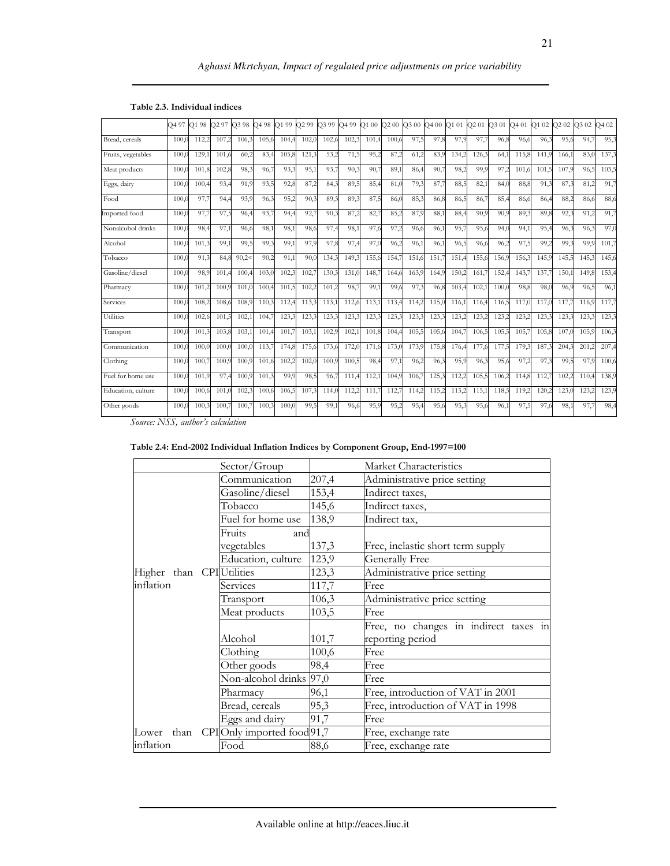# Aghassi Mkrtchyan, Impact of regulated price adjustments on price variability

|                    | O <sub>4</sub> 97 | O1 98 | O <sub>2</sub> 97 | O3 98 | O4 98 | 99<br>O1 | O <sub>2</sub> 99 | O <sub>3</sub> 99 | <b>3499</b> | O100  | O200  | O3 00 | O400  | O1 01 | O <sub>2</sub> 01 | O3 01 | 2401  | O <sub>1</sub> 0 <sub>2</sub> | O <sub>2</sub> 0 <sub>2</sub> | Q3 02 | <b>20 PC</b> |
|--------------------|-------------------|-------|-------------------|-------|-------|----------|-------------------|-------------------|-------------|-------|-------|-------|-------|-------|-------------------|-------|-------|-------------------------------|-------------------------------|-------|--------------|
| Bread, cereals     | 100.              | 112,2 | 107.2             | 106.3 | 105,6 | 104,4    | 102,              | 102 <sub>6</sub>  | 102.        | 101,4 | 100,6 | 97,5  | 97,8  | 97,9  | 97,7              | 96,8  | 96,6  | 96,3                          | 95,6                          | 94,7  | 95,3         |
|                    |                   |       |                   |       |       |          |                   |                   |             |       |       |       |       |       |                   |       |       |                               |                               |       |              |
| Fruits, vegetables | 100.              | 129.  | 101.6             | 60,2  | 83,4  | 105.8    | 121.              | 53,2              | 71,5        | 95,2  | 87,2  | 61.2  | 83.9  | 134.2 | 126,3             | 64,1  | 115.8 | 141. <sub>5</sub>             | 166.1                         | 83,0  | 137,3        |
| Meat products      | 100.              | 101.8 | 102,8             | 98,3  | 96,7  | 93.3     | 95,1              | 93,7              | 90.3        | 90,7  | 89,1  | 86,4  | 90,7  | 98,2  | 99,9              | 97,2  | 101.6 | 101.5                         | 107,9                         | 96,5  | 103,5        |
| Eggs, dairy        | 100.              | 100,4 | 93,4              | 91,9  | 93,5  | 92,8     | 87,2              | 84,3              | 89,5        | 85,4  | 81.0  | 79,3  | 87,7  | 88,5  | 82,1              | 84,0  | 88,8  | 91,3                          | 87.3                          | 81,2  | 91,7         |
| Food               | 100.              | 97,7  | 94,4              | 93,9  | 96,3  | 95,2     | 90,               | 89,3              | 89,3        | 87,5  | 86,0  | 85,3  | 86,8  | 86,5  | 86,7              | 85,4  | 86,6  | 86,4                          | 88,2                          | 86,6  | 88,6         |
| Imported food      | 100.              | 97,7  | 97,5              | 96,4  | 93,7  | 94,4     | 92,               | 90,3              | 87,2        | 82,7  | 85,2  | 87,9  | 88,1  | 88,4  | 90,9              | 90,9  | 89,3  | 89,8                          | 92.3                          | 91,2  | 91,7         |
| Nonalcohol drinks  | 100.0             | 98,4  | 97,1              | 96.6  | 98,1  | 98,1     | 98,6              | 97,4              | 98,1        | 97,6  | 97,2  | 96,6  | 96.1  | 95,7  | 95,6              | 94,0  | 94,1  | 95,4                          | 96,3                          | 96,3  | 97,0         |
| Alcohol            | 100.              | 101,3 | 99,1              | 99,5  | 99,3  | 99,1     | 97,9              | 97,8              | 97,4        | 97,0  | 96,2  | 96,1  | 96,1  | 96,5  | 96,6              | 96,2  | 97,5  | 99,2                          | 99,3                          | 99,9  | 101,7        |
| Tobacco            | 100.              | 91,3  | 84,8              | 90,2< | 90,2  | 91,1     | 90,               | 134,3             | 149,        | 155,6 | 154,7 | 151,6 | 151.7 | 151,4 | 155,6             | 156,9 | 156,3 | 145,9                         | 145,5                         | 145,3 | 145,6        |
| Gasoline/diesel    | 100.              | 98.9  | 101.4             | 100.4 | 103,0 | 102.3    | 102,              | 130.3             | 131.0       | 148.7 | 164,6 | 163,9 | 164.9 | 150.2 | 161,7             | 152,4 | 143.7 | 137.7                         | 150.                          | 149.8 | 153,4        |
| Pharmacy           | 100.              | 101.2 | 100.9             | 101.0 | 100,4 | 101,5    | 102.              | 101.2             | 98,         | 99,1  | 99,6  | 97,3  | 96.8  | 103,4 | 102,1             | 100,0 | 98,8  | 98,0                          | 96,9                          | 96,5  | 96,1         |
| Services           | 100.              | 108,2 | 108,6             | 108,9 | 110,3 | 112,4    | 113.3             | 113,1             | 112,0       | 113,1 | 113,4 | 114,2 | 115,0 | 116,1 | 116,4             | 116,5 | 117,0 | 117,                          | 117.                          | 116,9 | 117,7        |
| Utilities          | 100.              | 102,6 | 101.5             | 102,1 | 104,7 | 123,3    | 123.3             | 123,3             | 123,3       | 123,3 | 123,3 | 123,3 | 123,3 | 123,2 | 123,2             | 123,2 | 123.2 | 123,3                         | 123.3                         | 123,3 | 123,3        |
| Transport          | 100.              | 101.3 | 103.8             | 103.1 | 101,4 | 101.7    | 103.              | 102.9             | 102.1       | 101.8 | 104,4 | 105.5 | 105.6 | 104.7 | 106,5             | 105.5 | 105.7 | 105.8                         | 107.0                         | 105.9 | 106,3        |
| Communication      | 100.              | 100.0 | 100.0             | 100.0 | 113,7 | 174.8    | 175,6             | 173.6             | 172,        | 171.6 | 173,  | 173.9 | 175,8 | 176,4 | 177,6             | 177.5 | 179,3 | 187,3                         | 204.3                         | 201,2 | 207,4        |
| Clothing           | 100.              | 100.  | 100.9             | 100.9 | 101,6 | 102.2    | 102,              | 100.9             | 100.5       | 98,4  | 97,1  | 96,2  | 96.3  | 95,9  | 96,3              | 95,6  | 97.2  | 97.3                          | 99,5                          | 97,9  | 100,6        |
| Fuel for home use  | 100.              | 101,9 | 97,4              | 100.9 | 101,3 | 99,9     | 98,5              | 96.7              | 111.4       | 112,1 | 104,9 | 106,7 | 125,3 | 112,2 | 105,5             | 106,2 | 114,8 | 112,                          | 102.2                         | 110,4 | 138,9        |
| Education, culture | 100.              | 100.6 | 101.0             | 102.3 | 100,6 | 106,5    | 107.3             | 114.0             | 112.2       | 111.7 | 112.7 | 114,2 | 115.2 | 115,2 | 115.1             | 118,5 | 119.2 | 120.2                         | 123.0                         | 123,2 | 123,9        |
| Other goods        | 100.              | 100.3 | 100.7             | 100.7 | 100,3 | 100(     | 99,5              | 99,1              | 96,6        | 95,9  | 95,2  | 95,4  | 95,6  | 95,3  | 95,6              | 96,1  | 97,5  | 97,6                          | 98,1                          | 97,7  | 98,4         |

### Table 2.3. Individual indices

Source: NSS, author's calculation

| Table 2.4: End-2002 Individual Inflation Indices by Component Group, End-1997=100 |  |  |
|-----------------------------------------------------------------------------------|--|--|
|                                                                                   |  |  |

|                                    | Sector/Group                          |                              | Market Characteristics                |  |  |
|------------------------------------|---------------------------------------|------------------------------|---------------------------------------|--|--|
|                                    | Communication                         | 207,4                        | Administrative price setting          |  |  |
|                                    | Gasoline/diesel                       | 153,4                        | Indirect taxes,                       |  |  |
|                                    | Tobacco                               | 145,6                        | Indirect taxes,                       |  |  |
|                                    | Fuel for home use                     | 138,9                        | Indirect tax,                         |  |  |
| Fruits<br>and                      |                                       |                              |                                       |  |  |
|                                    | vegetables                            | 137,3                        | Free, inelastic short term supply     |  |  |
|                                    | Education, culture                    | 123,9                        | Generally Free                        |  |  |
| Higher than CPI Utilities<br>123,3 |                                       | Administrative price setting |                                       |  |  |
| inflation                          | Services                              | 117,7                        | Free                                  |  |  |
|                                    | Transport                             | 106,3                        | Administrative price setting          |  |  |
|                                    | Meat products                         | 103,5<br>Free                |                                       |  |  |
|                                    |                                       |                              | Free, no changes in indirect taxes in |  |  |
|                                    | Alcohol                               | 101,7                        | reporting period                      |  |  |
|                                    | Clothing                              | 100,6                        | Free                                  |  |  |
|                                    | Other goods                           | 98,4                         | Free                                  |  |  |
|                                    | Non-alcohol drinks 97,0               |                              | Free                                  |  |  |
|                                    | Pharmacv                              | 96,1                         | Free, introduction of VAT in 2001     |  |  |
|                                    | Bread, cereals                        | 95,3                         | Free, introduction of VAT in 1998     |  |  |
|                                    | Eggs and dairy                        | 91,7                         | Free                                  |  |  |
|                                    | Lower than CPIOnly imported food 91,7 |                              | Free, exchange rate                   |  |  |
| inflation                          | Food                                  | 88,6                         | Free, exchange rate                   |  |  |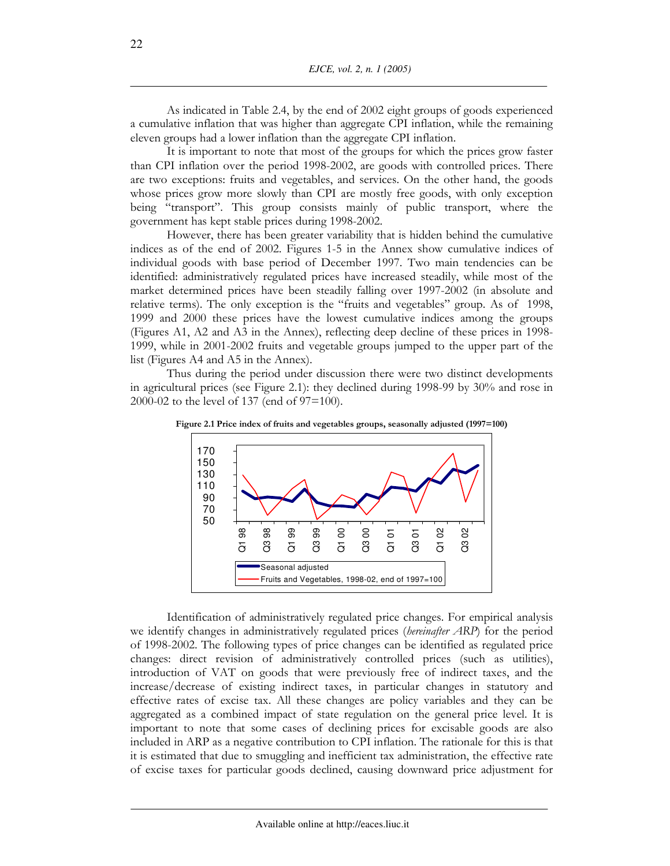As indicated in Table 2.4, by the end of 2002 eight groups of goods experienced a cumulative inflation that was higher than aggregate CPI inflation, while the remaining eleven groups had a lower inflation than the aggregate CPI inflation.

It is important to note that most of the groups for which the prices grow faster than CPI inflation over the period 1998-2002, are goods with controlled prices. There are two exceptions: fruits and vegetables, and services. On the other hand, the goods whose prices grow more slowly than CPI are mostly free goods, with only exception being "transport". This group consists mainly of public transport, where the government has kept stable prices during 1998-2002.

However, there has been greater variability that is hidden behind the cumulative indices as of the end of 2002. Figures 1-5 in the Annex show cumulative indices of individual goods with base period of December 1997. Two main tendencies can be identified: administratively regulated prices have increased steadily, while most of the market determined prices have been steadily falling over 1997-2002 (in absolute and relative terms). The only exception is the "fruits and vegetables" group. As of 1998, 1999 and 2000 these prices have the lowest cumulative indices among the groups (Figures A1, A2 and A3 in the Annex), reflecting deep decline of these prices in 1998-1999, while in 2001-2002 fruits and vegetable groups jumped to the upper part of the list (Figures A4 and A5 in the Annex).

Thus during the period under discussion there were two distinct developments in agricultural prices (see Figure 2.1): they declined during 1998-99 by 30% and rose in 2000-02 to the level of 137 (end of  $97=100$ ).



Figure 2.1 Price index of fruits and vegetables groups, seasonally adjusted (1997=100)

Identification of administratively regulated price changes. For empirical analysis we identify changes in administratively regulated prices (hereinafter ARP) for the period of 1998-2002. The following types of price changes can be identified as regulated price changes: direct revision of administratively controlled prices (such as utilities), introduction of VAT on goods that were previously free of indirect taxes, and the increase/decrease of existing indirect taxes, in particular changes in statutory and effective rates of excise tax. All these changes are policy variables and they can be aggregated as a combined impact of state regulation on the general price level. It is important to note that some cases of declining prices for excisable goods are also included in ARP as a negative contribution to CPI inflation. The rationale for this is that it is estimated that due to smuggling and inefficient tax administration, the effective rate of excise taxes for particular goods declined, causing downward price adjustment for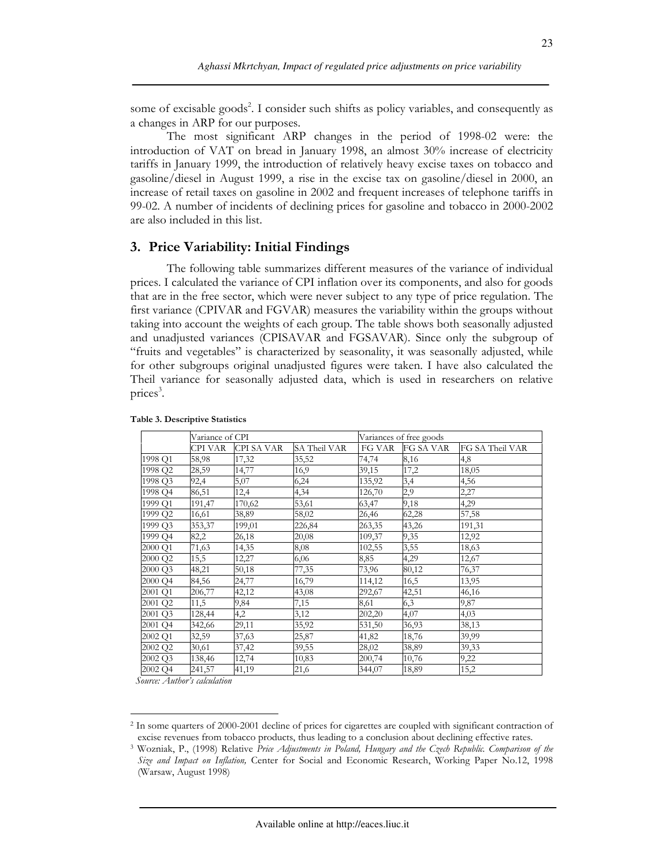some of excisable goods<sup>2</sup>. I consider such shifts as policy variables, and consequently as a changes in ARP for our purposes.

The most significant ARP changes in the period of 1998-02 were: the introduction of VAT on bread in January 1998, an almost 30% increase of electricity tariffs in January 1999, the introduction of relatively heavy excise taxes on tobacco and gasoline/diesel in August 1999, a rise in the excise tax on gasoline/diesel in 2000, an increase of retail taxes on gasoline in 2002 and frequent increases of telephone tariffs in 99-02. A number of incidents of declining prices for gasoline and tobacco in 2000-2002 are also included in this list.

### 3. Price Variability: Initial Findings

The following table summarizes different measures of the variance of individual prices. I calculated the variance of CPI inflation over its components, and also for goods that are in the free sector, which were never subject to any type of price regulation. The first variance (CPIVAR and FGVAR) measures the variability within the groups without taking into account the weights of each group. The table shows both seasonally adjusted and unadjusted variances (CPISAVAR and FGSAVAR). Since only the subgroup of "fruits and vegetables" is characterized by seasonality, it was seasonally adjusted, while for other subgroups original unadjusted figures were taken. I have also calculated the Theil variance for seasonally adjusted data, which is used in researchers on relative prices<sup>3</sup>.

|         | Variance of CPI |            |              |        | Variances of free goods |                 |
|---------|-----------------|------------|--------------|--------|-------------------------|-----------------|
|         | CPI VAR         | CPI SA VAR | SA Theil VAR | FG VAR | FG SA VAR               | FG SA Theil VAR |
| 1998 Q1 | 58,98           | 17,32      | 35,52        | 74,74  | 8,16                    | 4,8             |
| 1998 Q2 | 28,59           | 14,77      | 16,9         | 39,15  | 17,2                    | 18,05           |
| 1998 Q3 | 92,4            | 5,07       | 6,24         | 135,92 | 3,4                     | 4,56            |
| 1998 O4 | 86,51           | 12,4       | 4,34         | 126,70 | 2,9                     | 2,27            |
| 1999 Q1 | 191,47          | 170,62     | 53,61        | 63,47  | 9,18                    | 4,29            |
| 1999 Q2 | 16,61           | 38,89      | 58,02        | 26,46  | 62,28                   | 57,58           |
| 1999 Q3 | 353,37          | 199,01     | 226,84       | 263,35 | 43,26                   | 191,31          |
| 1999 Q4 | 82,2            | 26,18      | 20,08        | 109,37 | 9,35                    | 12,92           |
| 2000 Q1 | 71,63           | 14,35      | 8,08         | 102,55 | 3,55                    | 18,63           |
| 2000 Q2 | 15,5            | 12,27      | 6,06         | 8,85   | 4,29                    | 12,67           |
| 2000 Q3 | 48,21           | 50,18      | 77,35        | 73,96  | 80,12                   | 76,37           |
| 2000 Q4 | 84,56           | 24,77      | 16,79        | 114,12 | 16,5                    | 13,95           |
| 2001 Q1 | 206,77          | 42,12      | 43,08        | 292,67 | 42,51                   | 46,16           |
| 2001 Q2 | 11,5            | 9,84       | 7,15         | 8,61   | 6,3                     | 9,87            |
| 2001 Q3 | 128,44          | 4,2        | 3,12         | 202,20 | 4,07                    | 4,03            |
| 2001 Q4 | 342,66          | 29,11      | 35,92        | 531,50 | 36,93                   | 38,13           |
| 2002 Q1 | 32,59           | 37,63      | 25,87        | 41,82  | 18,76                   | 39,99           |
| 2002 Q2 | 30,61           | 37,42      | 39,55        | 28,02  | 38,89                   | 39,33           |
| 2002 Q3 | 138,46          | 12,74      | 10,83        | 200,74 | 10,76                   | 9,22            |
| 2002 Q4 | 241,57          | 41,19      | 21,6         | 344,07 | 18,89                   | 15,2            |

#### Table 3. Descriptive Statistics

Source: Author's calculation

<sup>&</sup>lt;sup>2</sup> In some quarters of 2000-2001 decline of prices for cigarettes are coupled with significant contraction of excise revenues from tobacco products, thus leading to a conclusion about declining effective rates.

<sup>&</sup>lt;sup>3</sup> Wozniak, P., (1998) Relative Price Adjustments in Poland, Hungary and the Czech Republic. Comparison of the Size and Impact on Inflation, Center for Social and Economic Research, Working Paper No.12, 1998 (Warsaw, August 1998)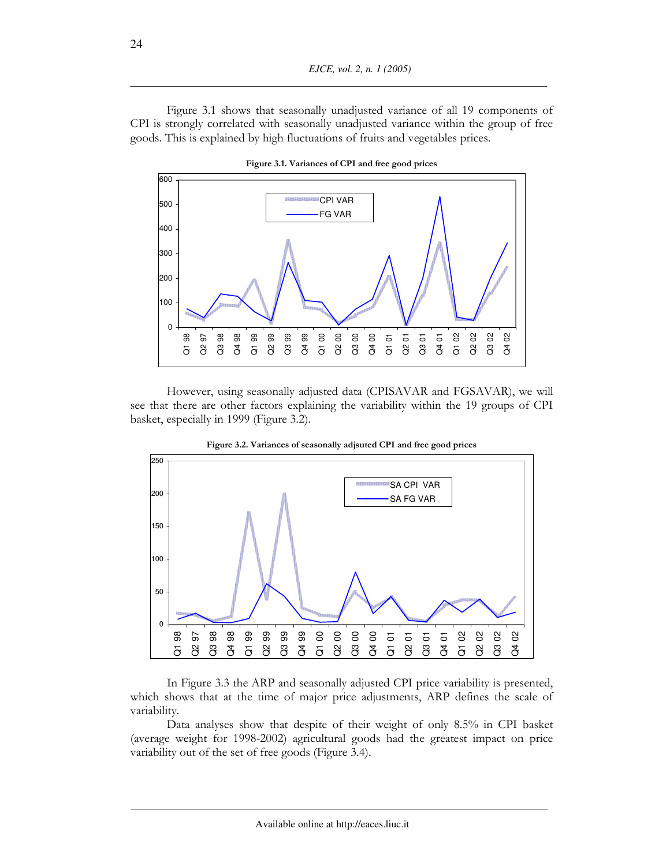Figure 3.1 shows that seasonally unadjusted variance of all 19 components of CPI is strongly correlated with seasonally unadjusted variance within the group of free goods. This is explained by high fluctuations of fruits and vegetables prices.



Figure 3.1. Variances of CPI and free good prices

However, using seasonally adjusted data (CPISAVAR and FGSAVAR), we will see that there are other factors explaining the variability within the 19 groups of CPI basket, especially in 1999 (Figure 3.2).





In Figure 3.3 the ARP and seasonally adjusted CPI price variability is presented, which shows that at the time of major price adjustments, ARP defines the scale of variability.

Data analyses show that despite of their weight of only 8.5% in CPI basket (average weight for 1998-2002) agricultural goods had the greatest impact on price variability out of the set of free goods (Figure 3.4).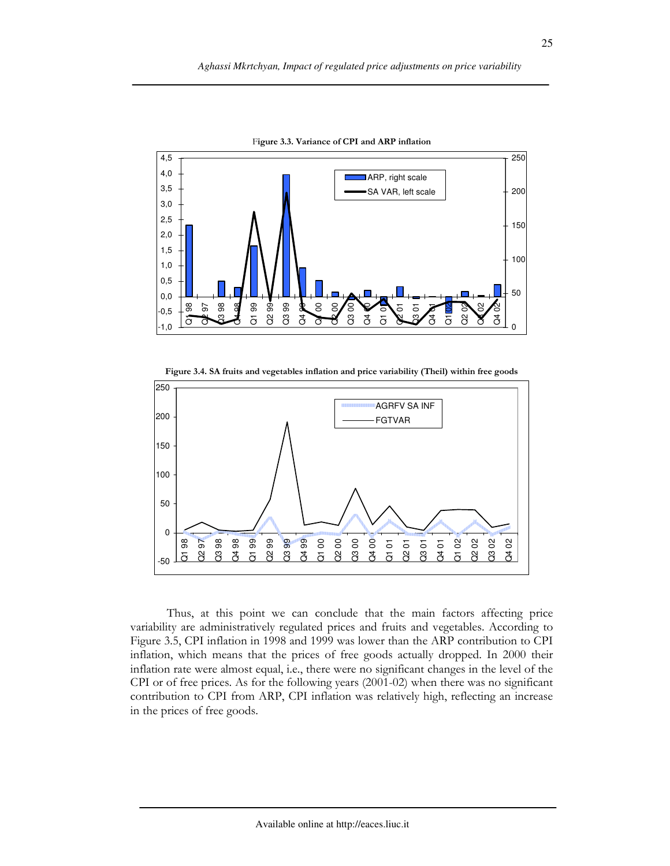

Figure 3.3. Variance of CPI and ARP inflation

Figure 3.4. SA fruits and vegetables inflation and price variability (Theil) within free goods



Thus, at this point we can conclude that the main factors affecting price variability are administratively regulated prices and fruits and vegetables. According to Figure 3.5, CPI inflation in 1998 and 1999 was lower than the ARP contribution to CPI inflation, which means that the prices of free goods actually dropped. In 2000 their inflation rate were almost equal, i.e., there were no significant changes in the level of the CPI or of free prices. As for the following years  $(2001-02)$  when there was no significant contribution to CPI from ARP, CPI inflation was relatively high, reflecting an increase in the prices of free goods.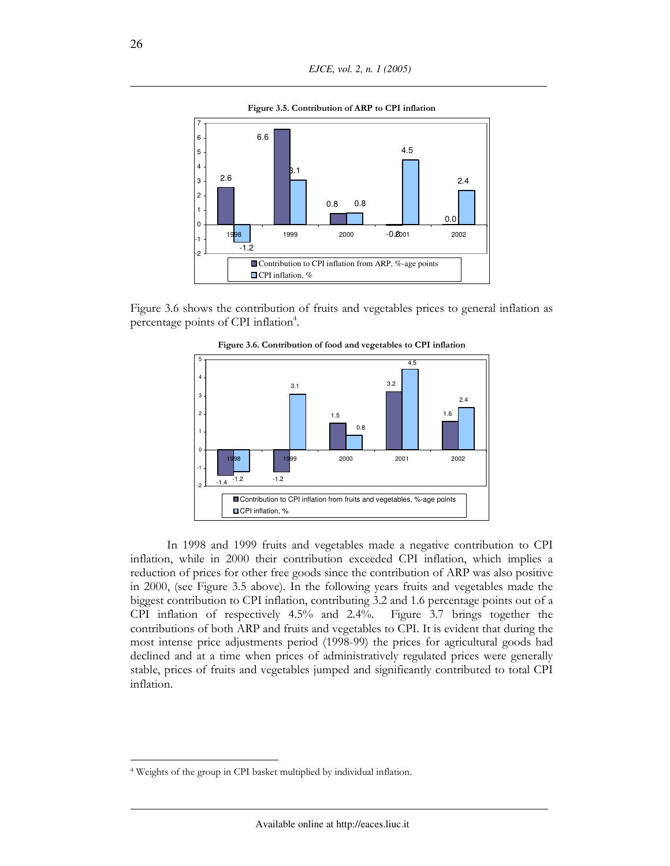

Figure 3.6 shows the contribution of fruits and vegetables prices to general inflation as percentage points of CPI inflation<sup>4</sup>.



Figure 3.6. Contribution of food and vegetables to CPI inflation

In 1998 and 1999 fruits and vegetables made a negative contribution to CPI inflation, while in 2000 their contribution exceeded CPI inflation, which implies a reduction of prices for other free goods since the contribution of ARP was also positive in 2000, (see Figure 3.5 above). In the following years fruits and vegetables made the biggest contribution to CPI inflation, contributing 3.2 and 1.6 percentage points out of a CPI inflation of respectively 4.5% and 2.4%. Figure 3.7 brings together the contributions of both ARP and fruits and vegetables to CPI. It is evident that during the most intense price adjustments period (1998-99) the prices for agricultural goods had declined and at a time when prices of administratively regulated prices were generally stable, prices of fruits and vegetables jumped and significantly contributed to total CPI inflation.

<sup>&</sup>lt;sup>4</sup> Weights of the group in CPI basket multiplied by individual inflation.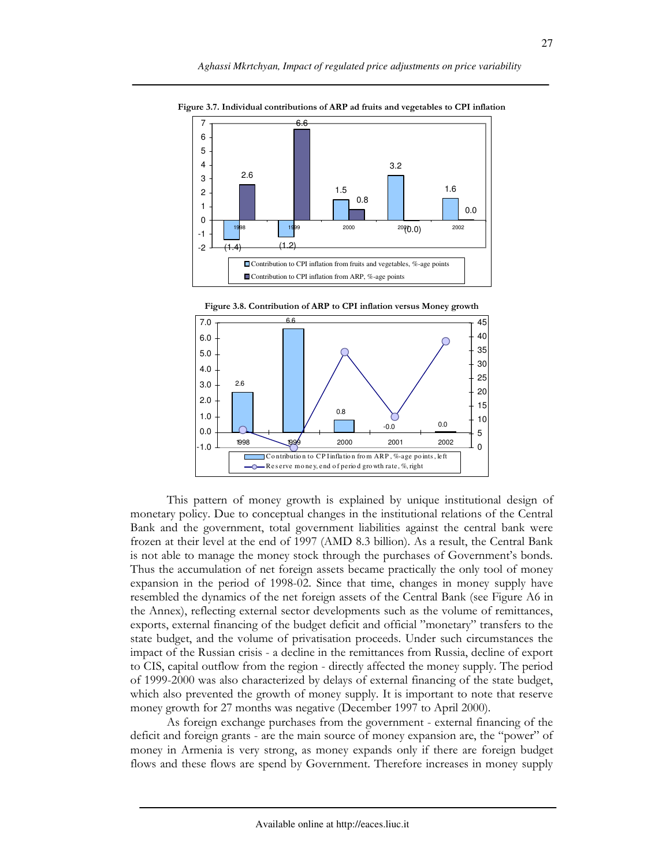

Figure 3.7. Individual contributions of ARP ad fruits and vegetables to CPI inflation





As foreign exchange purchases from the government - external financing of the deficit and foreign grants - are the main source of money expansion are, the "power" of money in Armenia is very strong, as money expands only if there are foreign budget flows and these flows are spend by Government. Therefore increases in money supply

27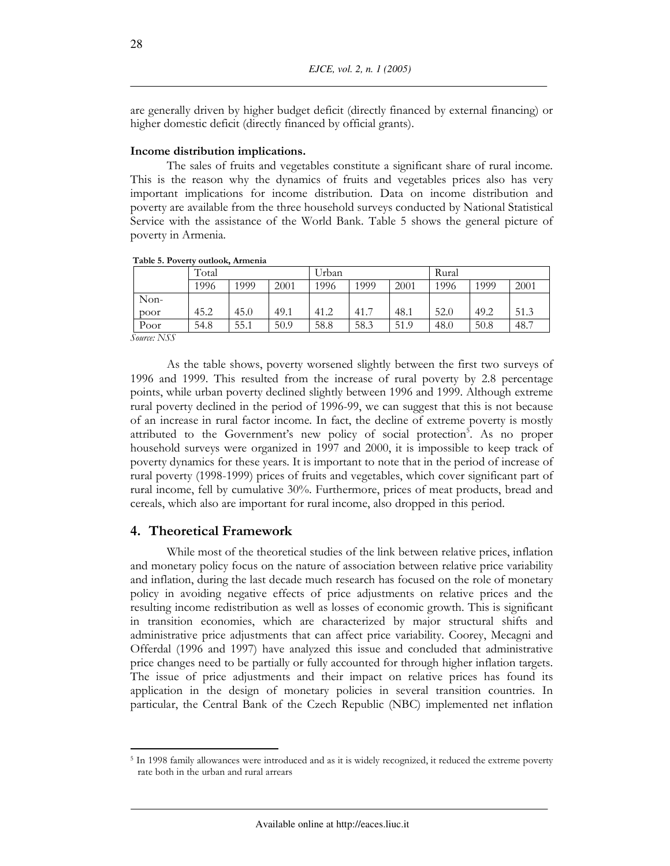are generally driven by higher budget deficit (directly financed by external financing) or higher domestic deficit (directly financed by official grants).

### Income distribution implications.

The sales of fruits and vegetables constitute a significant share of rural income. This is the reason why the dynamics of fruits and vegetables prices also has very important implications for income distribution. Data on income distribution and poverty are available from the three household surveys conducted by National Statistical Service with the assistance of the World Bank. Table 5 shows the general picture of poverty in Armenia.

|                 | Total |      |      | Urban |      |      | Rural |      |      |
|-----------------|-------|------|------|-------|------|------|-------|------|------|
|                 | 1996  | 1999 | 2001 | 1996  | 1999 | 2001 | 1996  | 1999 | 2001 |
| Non-            |       |      |      |       |      |      |       |      |      |
| poor            | 45.2  | 45.0 | 49.1 | 41.2  | 41.7 | 48.1 | 52.0  | 49.2 | 51.3 |
| Poor            | 54.8  | 55.1 | 50.9 | 58.8  | 58.3 | 51.9 | 48.0  | 50.8 | 48.7 |
| $Catree$ , NICC |       |      |      |       |      |      |       |      |      |

Table 5. Poverty outlook, Armenia

*Source: NSS* 

As the table shows, poverty worsened slightly between the first two surveys of 1996 and 1999. This resulted from the increase of rural poverty by 2.8 percentage points, while urban poverty declined slightly between 1996 and 1999. Although extreme rural poverty declined in the period of 1996-99, we can suggest that this is not because of an increase in rural factor income. In fact, the decline of extreme poverty is mostly attributed to the Government's new policy of social protection<sup>5</sup>. As no proper household surveys were organized in 1997 and 2000, it is impossible to keep track of poverty dynamics for these years. It is important to note that in the period of increase of rural poverty (1998-1999) prices of fruits and vegetables, which cover significant part of rural income, fell by cumulative 30%. Furthermore, prices of meat products, bread and cereals, which also are important for rural income, also dropped in this period.

### 4. Theoretical Framework

While most of the theoretical studies of the link between relative prices, inflation and monetary policy focus on the nature of association between relative price variability and inflation, during the last decade much research has focused on the role of monetary policy in avoiding negative effects of price adjustments on relative prices and the resulting income redistribution as well as losses of economic growth. This is significant in transition economies, which are characterized by major structural shifts and administrative price adjustments that can affect price variability. Coorey, Mecagni and Offerdal (1996 and 1997) have analyzed this issue and concluded that administrative price changes need to be partially or fully accounted for through higher inflation targets. The issue of price adjustments and their impact on relative prices has found its application in the design of monetary policies in several transition countries. In particular, the Central Bank of the Czech Republic (NBC) implemented net inflation

28

<sup>&</sup>lt;sup>5</sup> In 1998 family allowances were introduced and as it is widely recognized, it reduced the extreme poverty rate both in the urban and rural arrears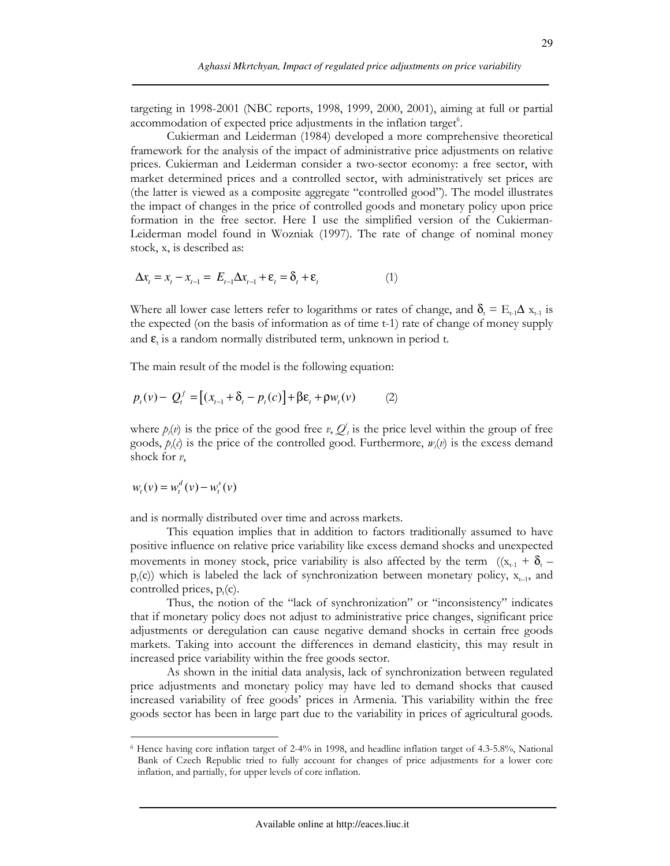targeting in 1998-2001 (NBC reports, 1998, 1999, 2000, 2001), aiming at full or partial accommodation of expected price adjustments in the inflation target<sup>6</sup>.

Cukierman and Leiderman (1984) developed a more comprehensive theoretical framework for the analysis of the impact of administrative price adjustments on relative prices. Cukierman and Leiderman consider a two-sector economy: a free sector, with market determined prices and a controlled sector, with administratively set prices are (the latter is viewed as a composite aggregate "controlled good"). The model illustrates the impact of changes in the price of controlled goods and monetary policy upon price formation in the free sector. Here I use the simplified version of the Cukierman-Leiderman model found in Wozniak (1997). The rate of change of nominal money stock, x, is described as:

$$
\Delta x_t = x_t - x_{t-1} = E_{t-1} \Delta x_{t-1} + \varepsilon_t = \delta_t + \varepsilon_t \tag{1}
$$

Where all lower case letters refer to logarithms or rates of change, and  $\delta_{t} = E_{t-1} \Delta x_{t-1}$  is the expected (on the basis of information as of time t-1) rate of change of money supply and  $\epsilon$ , is a random normally distributed term, unknown in period t.

The main result of the model is the following equation:

$$
p_t(v) - Q_t^f = [(x_{t-1} + \delta_t - p_t(c)] + \beta \varepsilon_t + \rho w_t(v) \tag{2}
$$

where  $p_i(v)$  is the price of the good free v,  $Q_i$  is the price level within the group of free goods,  $p(x)$  is the price of the controlled good. Furthermore,  $w(x)$  is the excess demand shock for  $\nu$ ,

$$
w_t(v) = w_t^d(v) - w_t^s(v)
$$

and is normally distributed over time and across markets.

This equation implies that in addition to factors traditionally assumed to have positive influence on relative price variability like excess demand shocks and unexpected movements in money stock, price variability is also affected by the term  $((x_{t-1} + \delta_t$  $p_r(c)$ ) which is labeled the lack of synchronization between monetary policy,  $x_{t-1}$ , and controlled prices,  $p_t(c)$ .

Thus, the notion of the "lack of synchronization" or "inconsistency" indicates that if monetary policy does not adjust to administrative price changes, significant price adjustments or deregulation can cause negative demand shocks in certain free goods markets. Taking into account the differences in demand elasticity, this may result in increased price variability within the free goods sector.

As shown in the initial data analysis, lack of synchronization between regulated price adjustments and monetary policy may have led to demand shocks that caused increased variability of free goods' prices in Armenia. This variability within the free goods sector has been in large part due to the variability in prices of agricultural goods.

<sup>&</sup>lt;sup>6</sup> Hence having core inflation target of 2-4% in 1998, and headline inflation target of 4.3-5.8%, National Bank of Czech Republic tried to fully account for changes of price adjustments for a lower core inflation, and partially, for upper levels of core inflation.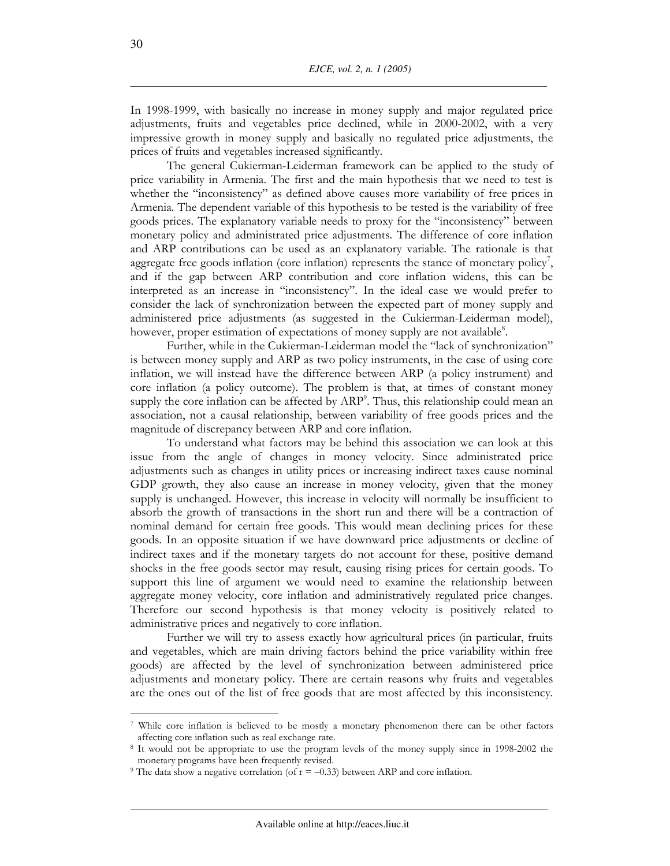In 1998-1999, with basically no increase in money supply and major regulated price adjustments, fruits and vegetables price declined, while in 2000-2002, with a very impressive growth in money supply and basically no regulated price adjustments, the prices of fruits and vegetables increased significantly.

The general Cukierman-Leiderman framework can be applied to the study of price variability in Armenia. The first and the main hypothesis that we need to test is whether the "inconsistency" as defined above causes more variability of free prices in Armenia. The dependent variable of this hypothesis to be tested is the variability of free goods prices. The explanatory variable needs to proxy for the "inconsistency" between monetary policy and administrated price adjustments. The difference of core inflation and ARP contributions can be used as an explanatory variable. The rationale is that aggregate free goods inflation (core inflation) represents the stance of monetary policy', and if the gap between ARP contribution and core inflation widens, this can be interpreted as an increase in "inconsistency". In the ideal case we would prefer to consider the lack of synchronization between the expected part of money supply and administered price adjustments (as suggested in the Cukierman-Leiderman model), however, proper estimation of expectations of money supply are not available<sup>8</sup>.

Further, while in the Cukierman-Leiderman model the "lack of synchronization" is between money supply and ARP as two policy instruments, in the case of using core inflation, we will instead have the difference between ARP (a policy instrument) and core inflation (a policy outcome). The problem is that, at times of constant money supply the core inflation can be affected by ARP<sup>9</sup>. Thus, this relationship could mean an association, not a causal relationship, between variability of free goods prices and the magnitude of discrepancy between ARP and core inflation.

To understand what factors may be behind this association we can look at this issue from the angle of changes in money velocity. Since administrated price adjustments such as changes in utility prices or increasing indirect taxes cause nominal GDP growth, they also cause an increase in money velocity, given that the money supply is unchanged. However, this increase in velocity will normally be insufficient to absorb the growth of transactions in the short run and there will be a contraction of nominal demand for certain free goods. This would mean declining prices for these goods. In an opposite situation if we have downward price adjustments or decline of indirect taxes and if the monetary targets do not account for these, positive demand shocks in the free goods sector may result, causing rising prices for certain goods. To support this line of argument we would need to examine the relationship between aggregate money velocity, core inflation and administratively regulated price changes. Therefore our second hypothesis is that money velocity is positively related to administrative prices and negatively to core inflation.

Further we will try to assess exactly how agricultural prices (in particular, fruits and vegetables, which are main driving factors behind the price variability within free goods) are affected by the level of synchronization between administered price adjustments and monetary policy. There are certain reasons why fruits and vegetables are the ones out of the list of free goods that are most affected by this inconsistency.

<sup>&</sup>lt;sup>7</sup> While core inflation is believed to be mostly a monetary phenomenon there can be other factors affecting core inflation such as real exchange rate.

<sup>&</sup>lt;sup>8</sup> It would not be appropriate to use the program levels of the money supply since in 1998-2002 the monetary programs have been frequently revised.

<sup>&</sup>lt;sup>9</sup> The data show a negative correlation (of  $r = -0.33$ ) between ARP and core inflation.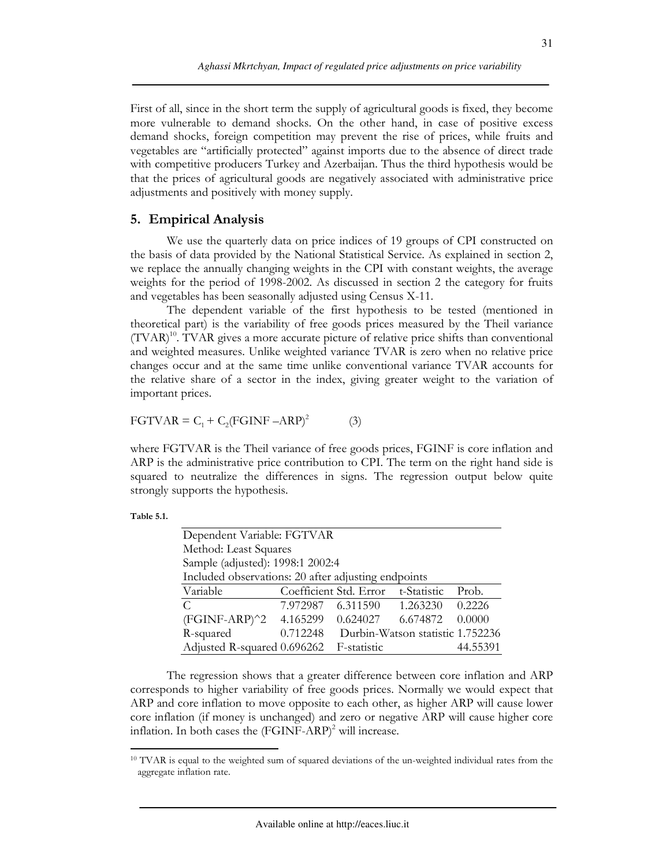First of all, since in the short term the supply of agricultural goods is fixed, they become more vulnerable to demand shocks. On the other hand, in case of positive excess demand shocks, foreign competition may prevent the rise of prices, while fruits and vegetables are "artificially protected" against imports due to the absence of direct trade with competitive producers Turkey and Azerbaijan. Thus the third hypothesis would be that the prices of agricultural goods are negatively associated with administrative price adjustments and positively with money supply.

### 5. Empirical Analysis

We use the quarterly data on price indices of 19 groups of CPI constructed on the basis of data provided by the National Statistical Service. As explained in section 2, we replace the annually changing weights in the CPI with constant weights, the average weights for the period of 1998-2002. As discussed in section 2 the category for fruits and vegetables has been seasonally adjusted using Census X-11.

The dependent variable of the first hypothesis to be tested (mentioned in theoretical part) is the variability of free goods prices measured by the Theil variance (TVAR)<sup>10</sup>. TVAR gives a more accurate picture of relative price shifts than conventional and weighted measures. Unlike weighted variance TVAR is zero when no relative price changes occur and at the same time unlike conventional variance TVAR accounts for the relative share of a sector in the index, giving greater weight to the variation of important prices.

$$
FGTVAR = C_1 + C_2(FGINF - ARP)^2 \tag{3}
$$

where FGTVAR is the Theil variance of free goods prices, FGINF is core inflation and ARP is the administrative price contribution to CPI. The term on the right hand side is squared to neutralize the differences in signs. The regression output below quite strongly supports the hypothesis.

| Table 5.1. |  |
|------------|--|
|------------|--|

| Dependent Variable: FGTVAR                          |          |                                    |          |
|-----------------------------------------------------|----------|------------------------------------|----------|
| Method: Least Squares                               |          |                                    |          |
| Sample (adjusted): 1998:1 2002:4                    |          |                                    |          |
| Included observations: 20 after adjusting endpoints |          |                                    |          |
| Variable                                            |          | Coefficient Std. Error t-Statistic | Prob.    |
| $\mathcal{C}$                                       |          | 7.972987 6.311590 1.263230 0.2226  |          |
| (FGINF-ARP)^2 4.165299 0.624027 6.674872            |          |                                    | 0.0000   |
| R-squared                                           | 0.712248 | Durbin-Watson statistic 1.752236   |          |
| Adjusted R-squared 0.696262 F-statistic             |          |                                    | 44.55391 |

The regression shows that a greater difference between core inflation and ARP corresponds to higher variability of free goods prices. Normally we would expect that ARP and core inflation to move opposite to each other, as higher ARP will cause lower core inflation (if money is unchanged) and zero or negative ARP will cause higher core inflation. In both cases the  $(FGINF-ARP)^2$  will increase.

<sup>&</sup>lt;sup>10</sup> TVAR is equal to the weighted sum of squared deviations of the un-weighted individual rates from the aggregate inflation rate.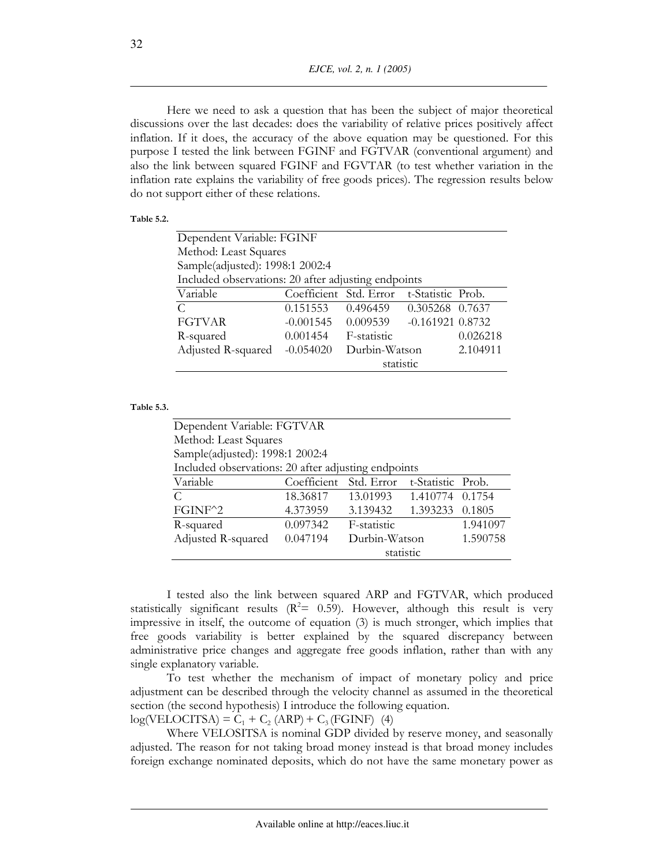EJCE, vol. 2, n. 1 (2005)

Here we need to ask a question that has been the subject of major theoretical discussions over the last decades: does the variability of relative prices positively affect inflation. If it does, the accuracy of the above equation may be questioned. For this purpose I tested the link between FGINF and FGTVAR (conventional argument) and also the link between squared FGINF and FGVTAR (to test whether variation in the inflation rate explains the variability of free goods prices). The regression results below do not support either of these relations.

#### Table 5.2.

|                                                     | Dependent Variable: FGINF |                                             |                   |          |  |  |  |
|-----------------------------------------------------|---------------------------|---------------------------------------------|-------------------|----------|--|--|--|
| Method: Least Squares                               |                           |                                             |                   |          |  |  |  |
| Sample(adjusted): 1998:1 2002:4                     |                           |                                             |                   |          |  |  |  |
| Included observations: 20 after adjusting endpoints |                           |                                             |                   |          |  |  |  |
| Variable                                            | Coefficient Std. Error    |                                             | t-Statistic Prob. |          |  |  |  |
| $\mathcal{C}$                                       | 0.151553                  | 0.496459                                    | 0.305268 0.7637   |          |  |  |  |
| <b>FGTVAR</b>                                       |                           | $-0.001545$ $0.009539$ $-0.161921$ $0.8732$ |                   |          |  |  |  |
| R-squared                                           | 0.001454                  | F-statistic                                 |                   | 0.026218 |  |  |  |
| Adjusted R-squared                                  | $-0.054020$               | Durbin-Watson                               |                   | 2.104911 |  |  |  |
|                                                     |                           | statistic                                   |                   |          |  |  |  |

#### Table 5.3.

|                                                     | Dependent Variable: FGTVAR |                            |                   |          |  |  |  |
|-----------------------------------------------------|----------------------------|----------------------------|-------------------|----------|--|--|--|
| Method: Least Squares                               |                            |                            |                   |          |  |  |  |
| Sample(adjusted): 1998:1 2002:4                     |                            |                            |                   |          |  |  |  |
| Included observations: 20 after adjusting endpoints |                            |                            |                   |          |  |  |  |
| Variable                                            | Coefficient Std. Error     |                            | t-Statistic Prob. |          |  |  |  |
| C                                                   | 18.36817                   | 13.01993  1.410774  0.1754 |                   |          |  |  |  |
| FGINF <sup>^2</sup>                                 | 4.373959                   | 3.139432 1.393233 0.1805   |                   |          |  |  |  |
| R-squared                                           | 0.097342                   | F-statistic                |                   | 1.941097 |  |  |  |
| Adjusted R-squared                                  | 0.047194                   | Durbin-Watson              |                   | 1.590758 |  |  |  |
|                                                     | statistic                  |                            |                   |          |  |  |  |

I tested also the link between squared ARP and FGTVAR, which produced statistically significant results ( $R^2$  = 0.59). However, although this result is very impressive in itself, the outcome of equation (3) is much stronger, which implies that free goods variability is better explained by the squared discrepancy between administrative price changes and aggregate free goods inflation, rather than with any single explanatory variable.

To test whether the mechanism of impact of monetary policy and price adjustment can be described through the velocity channel as assumed in the theoretical section (the second hypothesis) I introduce the following equation.

 $log(VELOCITSA) = C_1 + C_2 (ARP) + C_3 (FGINF)$  (4)

Where VELOSITSA is nominal GDP divided by reserve money, and seasonally adjusted. The reason for not taking broad money instead is that broad money includes foreign exchange nominated deposits, which do not have the same monetary power as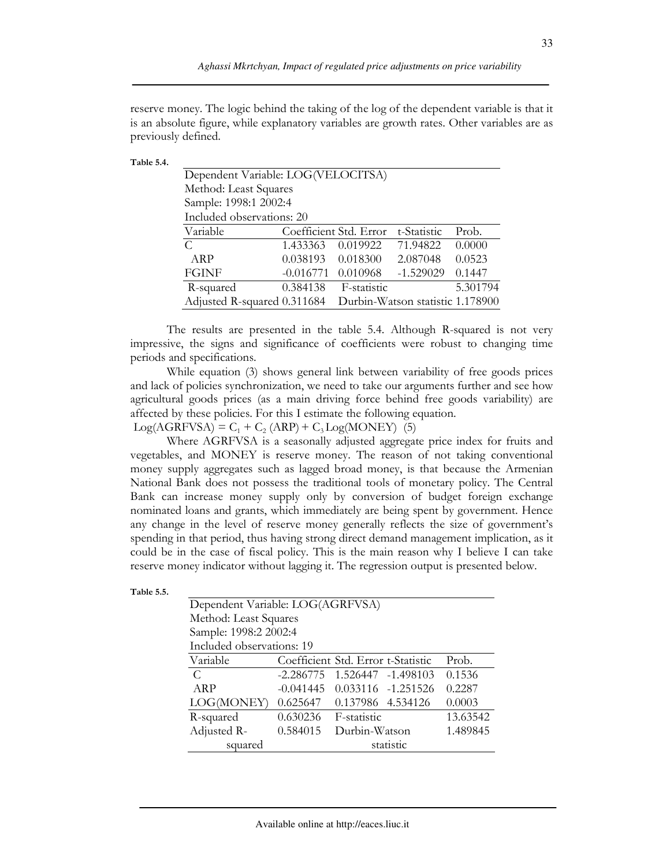reserve money. The logic behind the taking of the log of the dependent variable is that it is an absolute figure, while explanatory variables are growth rates. Other variables are as previously defined.

| Table 5.4. |
|------------|
|------------|

| Dependent Variable: LOG(VELOCITSA) |             |                        |                                  |          |  |  |
|------------------------------------|-------------|------------------------|----------------------------------|----------|--|--|
| Method: Least Squares              |             |                        |                                  |          |  |  |
| Sample: 1998:1 2002:4              |             |                        |                                  |          |  |  |
| Included observations: 20          |             |                        |                                  |          |  |  |
| Variable                           |             | Coefficient Std. Error | t-Statistic                      | Prob.    |  |  |
| C                                  | 1.433363    | 0.019922               | 71.94822                         | 0.0000   |  |  |
| ARP                                | 0.038193    | 0.018300               | 2.087048                         | 0.0523   |  |  |
| <b>FGINF</b>                       | $-0.016771$ | 0.010968               | $-1.529029$                      | 0.1447   |  |  |
| R-squared                          | 0.384138    | F-statistic            |                                  | 5.301794 |  |  |
| Adjusted R-squared 0.311684        |             |                        | Durbin-Watson statistic 1.178900 |          |  |  |

The results are presented in the table 5.4. Although R-squared is not very impressive, the signs and significance of coefficients were robust to changing time periods and specifications.

While equation (3) shows general link between variability of free goods prices and lack of policies synchronization, we need to take our arguments further and see how agricultural goods prices (as a main driving force behind free goods variability) are affected by these policies. For this I estimate the following equation.

 $Log(AGRFVSA) = C_1 + C_2 (ARP) + C_3 Log(MONEY)$  (5)

Where AGRFVSA is a seasonally adjusted aggregate price index for fruits and vegetables, and MONEY is reserve money. The reason of not taking conventional money supply aggregates such as lagged broad money, is that because the Armenian National Bank does not possess the traditional tools of monetary policy. The Central Bank can increase money supply only by conversion of budget foreign exchange nominated loans and grants, which immediately are being spent by government. Hence any change in the level of reserve money generally reflects the size of government's spending in that period, thus having strong direct demand management implication, as it could be in the case of fiscal policy. This is the main reason why I believe I can take reserve money indicator without lagging it. The regression output is presented below.

| Dependent Variable: LOG(AGRFVSA) |             |                                    |                    |          |
|----------------------------------|-------------|------------------------------------|--------------------|----------|
| Method: Least Squares            |             |                                    |                    |          |
| Sample: 1998:2 2002:4            |             |                                    |                    |          |
| Included observations: 19        |             |                                    |                    |          |
| Variable                         |             | Coefficient Std. Error t-Statistic |                    | Prob.    |
| C.                               | $-2.286775$ | 1.526447 -1.498103                 |                    | 0.1536   |
| ARP                              | $-0.041445$ |                                    | 0.033116 -1.251526 | 0.2287   |
| LOG(MONEY)                       | 0.625647    | 0.137986 4.534126                  |                    | 0.0003   |
| R-squared                        | 0.630236    | F-statistic                        |                    | 13.63542 |
| Adjusted R-                      | 0.584015    | Durbin-Watson                      |                    | 1.489845 |
| squared                          |             |                                    | statistic          |          |

| Table 5.5. |  |
|------------|--|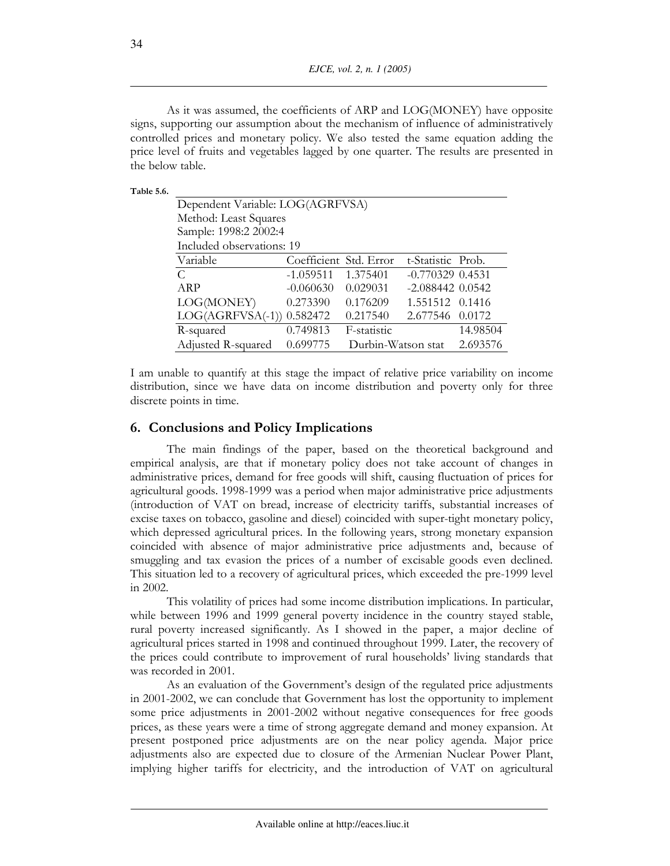EJCE, vol. 2, n. 1 (2005)

As it was assumed, the coefficients of ARP and LOG(MONEY) have opposite signs, supporting our assumption about the mechanism of influence of administratively controlled prices and monetary policy. We also tested the same equation adding the price level of fruits and vegetables lagged by one quarter. The results are presented in the below table

| Table 5.6. |  |
|------------|--|
|            |  |

| Dependent Variable: LOG(AGRFVSA) |                        |                    |                      |          |  |
|----------------------------------|------------------------|--------------------|----------------------|----------|--|
| Method: Least Squares            |                        |                    |                      |          |  |
| Sample: 1998:2 2002:4            |                        |                    |                      |          |  |
| Included observations: 19        |                        |                    |                      |          |  |
| Variable                         | Coefficient Std. Error |                    | t-Statistic Prob.    |          |  |
| C                                | $-1.059511$            | 1.375401           | $-0.770329$ $0.4531$ |          |  |
| ARP                              | $-0.060630$            | 0.029031           | $-2.088442$ $0.0542$ |          |  |
| LOG(MONEY)                       | 0.273390               | 0.176209           | 1.551512 0.1416      |          |  |
| $LOG(AGRFVSA(-1))$ 0.582472      |                        | 0.217540           | 2.677546 0.0172      |          |  |
| R-squared                        | 0.749813               | F-statistic        |                      | 14.98504 |  |
| Adjusted R-squared               | 0.699775               | Durbin-Watson stat |                      | 2.693576 |  |

I am unable to quantify at this stage the impact of relative price variability on income distribution, since we have data on income distribution and poverty only for three discrete points in time.

### 6. Conclusions and Policy Implications

The main findings of the paper, based on the theoretical background and empirical analysis, are that if monetary policy does not take account of changes in administrative prices, demand for free goods will shift, causing fluctuation of prices for agricultural goods. 1998-1999 was a period when major administrative price adjustments (introduction of VAT on bread, increase of electricity tariffs, substantial increases of excise taxes on tobacco, gasoline and diesel) coincided with super-tight monetary policy, which depressed agricultural prices. In the following years, strong monetary expansion coincided with absence of major administrative price adjustments and, because of smuggling and tax evasion the prices of a number of excisable goods even declined. This situation led to a recovery of agricultural prices, which exceeded the pre-1999 level in 2002.

This volatility of prices had some income distribution implications. In particular, while between 1996 and 1999 general poverty incidence in the country stayed stable, rural poverty increased significantly. As I showed in the paper, a major decline of agricultural prices started in 1998 and continued throughout 1999. Later, the recovery of the prices could contribute to improvement of rural households' living standards that was recorded in 2001.

As an evaluation of the Government's design of the regulated price adjustments in 2001-2002, we can conclude that Government has lost the opportunity to implement some price adjustments in 2001-2002 without negative consequences for free goods prices, as these years were a time of strong aggregate demand and money expansion. At present postponed price adjustments are on the near policy agenda. Major price adjustments also are expected due to closure of the Armenian Nuclear Power Plant, implying higher tariffs for electricity, and the introduction of VAT on agricultural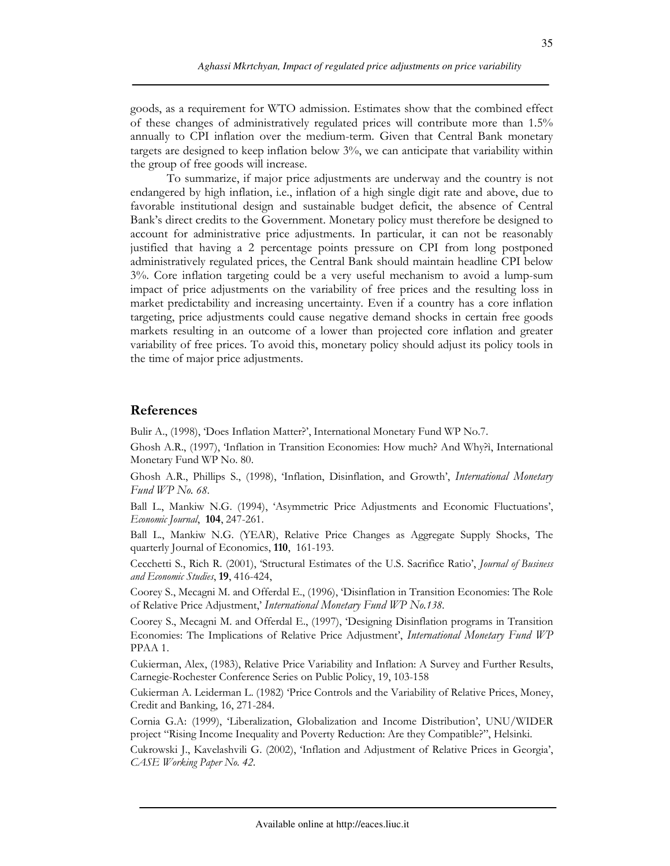goods, as a requirement for WTO admission. Estimates show that the combined effect of these changes of administratively regulated prices will contribute more than 1.5% annually to CPI inflation over the medium-term. Given that Central Bank monetary targets are designed to keep inflation below 3%, we can anticipate that variability within the group of free goods will increase.

To summarize, if major price adjustments are underway and the country is not endangered by high inflation, i.e., inflation of a high single digit rate and above, due to favorable institutional design and sustainable budget deficit, the absence of Central Bank's direct credits to the Government. Monetary policy must therefore be designed to account for administrative price adjustments. In particular, it can not be reasonably justified that having a 2 percentage points pressure on CPI from long postponed administratively regulated prices, the Central Bank should maintain headline CPI below 3%. Core inflation targeting could be a very useful mechanism to avoid a lump-sum impact of price adjustments on the variability of free prices and the resulting loss in market predictability and increasing uncertainty. Even if a country has a core inflation targeting, price adjustments could cause negative demand shocks in certain free goods markets resulting in an outcome of a lower than projected core inflation and greater variability of free prices. To avoid this, monetary policy should adjust its policy tools in the time of major price adjustments.

### **References**

Bulir A., (1998), 'Does Inflation Matter?', International Monetary Fund WP No.7.

Ghosh A.R., (1997), 'Inflation in Transition Economies: How much? And Why?i, International Monetary Fund WP No. 80.

Ghosh A.R., Phillips S., (1998), Inflation, Disinflation, and Growth', *International Monetary* Fund WP No. 68.

Ball L., Mankiw N.G. (1994), 'Asymmetric Price Adjustments and Economic Fluctuations', Economic Journal, 104, 247-261.

Ball L., Mankiw N.G. (YEAR), Relative Price Changes as Aggregate Supply Shocks, The quarterly Journal of Economics, 110, 161-193.

Cecchetti S., Rich R. (2001), 'Structural Estimates of the U.S. Sacrifice Ratio', Journal of Business and Economic Studies, 19, 416-424,

Coorey S., Mecagni M. and Offerdal E., (1996), 'Disinflation in Transition Economies: The Role of Relative Price Adjustment,' International Monetary Fund WP No.138.

Coorey S., Mecagni M. and Offerdal E., (1997), Designing Disinflation programs in Transition Economies: The Implications of Relative Price Adjustment', *International Monetary Fund WP* PPAA 1.

Cukierman, Alex, (1983), Relative Price Variability and Inflation: A Survey and Further Results, Carnegie-Rochester Conference Series on Public Policy, 19, 103-158

Cukierman A. Leiderman L. (1982) Price Controls and the Variability of Relative Prices, Money, Credit and Banking, 16, 271-284.

Cornia G.A: (1999), 'Liberalization, Globalization and Income Distribution', UNU/WIDER project "Rising Income Inequality and Poverty Reduction: Are they Compatible?", Helsinki.

Cukrowski J., Kavelashvili G. (2002), 'Inflation and Adjustment of Relative Prices in Georgia', CASE Working Paper No. 42.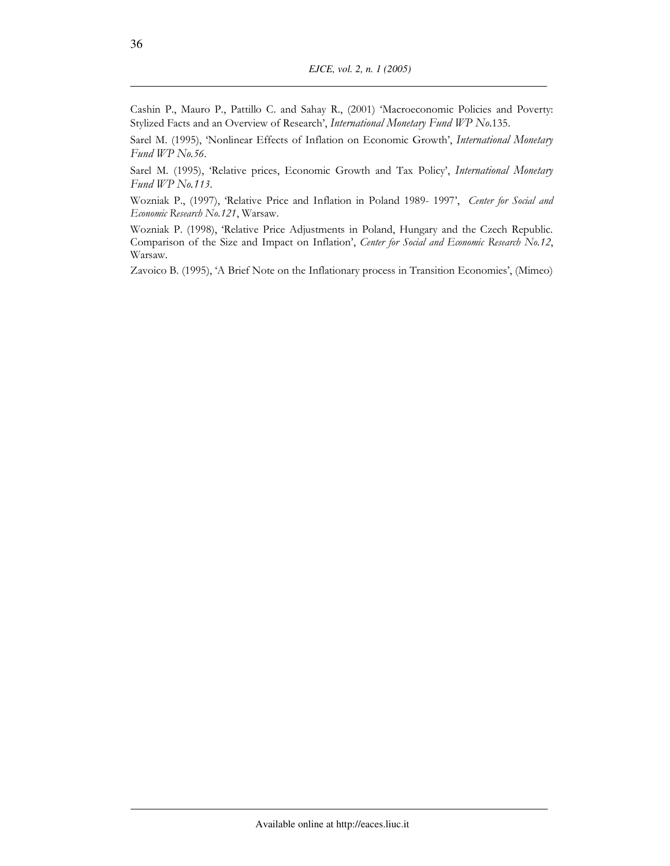Cashin P., Mauro P., Pattillo C. and Sahay R., (2001) 'Macroeconomic Policies and Poverty: Stylized Facts and an Overview of Research', International Monetary Fund WP No.135.

Sarel M. (1995), 'Nonlinear Effects of Inflation on Economic Growth', International Monetary Fund WP No.56.

Sarel M. (1995), 'Relative prices, Economic Growth and Tax Policy', International Monetary Fund WP No.113.

Wozniak P., (1997), Relative Price and Inflation in Poland 1989-1997', Center for Social and Economic Research No.121, Warsaw.

Wozniak P. (1998), 'Relative Price Adjustments in Poland, Hungary and the Czech Republic. Comparison of the Size and Impact on Inflation', Center for Social and Economic Research No.12, Warsaw.

Zavoico B. (1995), 'A Brief Note on the Inflationary process in Transition Economies', (Mimeo)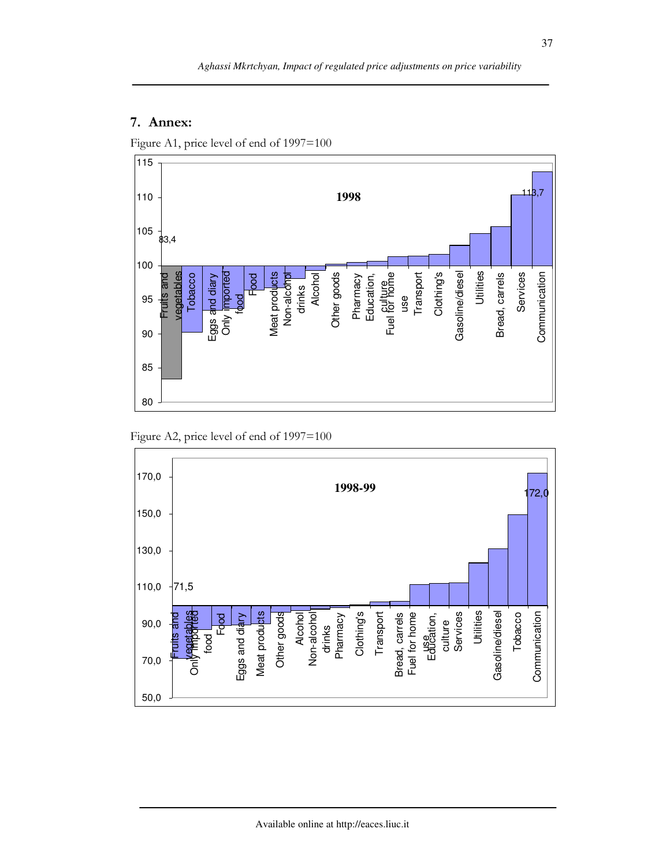# 7. Annex:

Figure A1, price level of end of 1997=100



Figure A2, price level of end of 1997=100

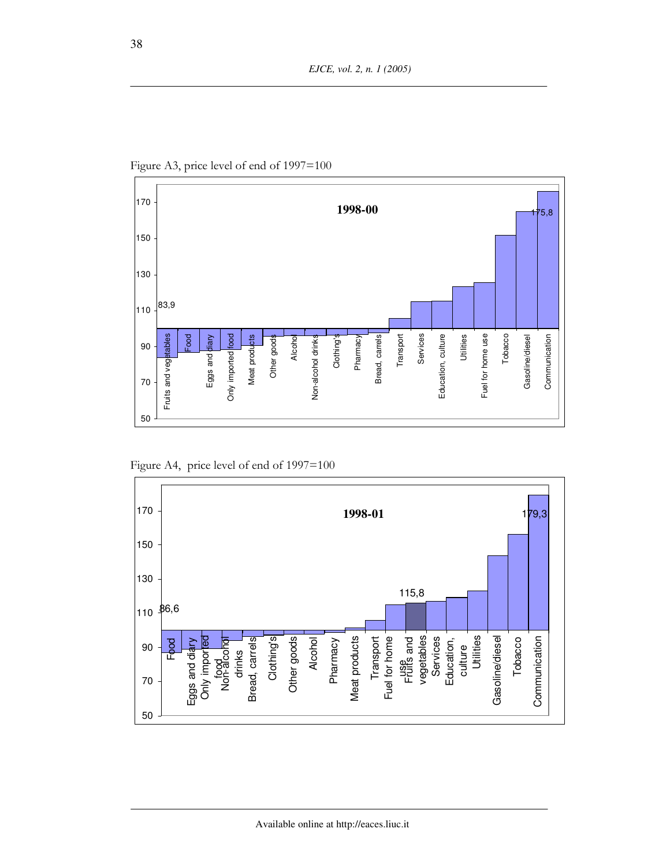

Figure A3, price level of end of 1997=100

Figure A4, price level of end of 1997=100